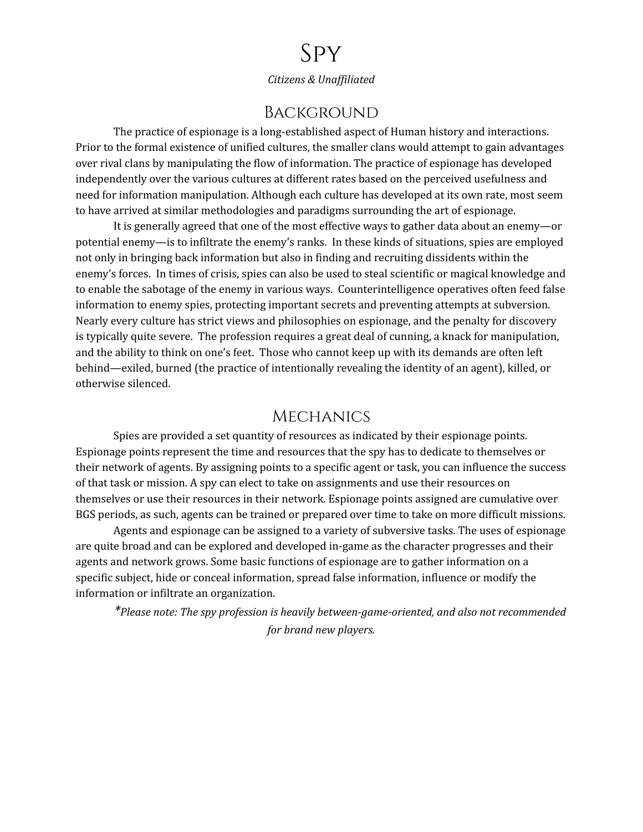# Spy

*Citizens & Unaf iliated*

### **BACKGROUND**

The practice of espionage is a long-established aspect of Human history and interactions. Prior to the formal existence of unified cultures, the smaller clans would attempt to gain advantages over rival clans by manipulating the flow of information. The practice of espionage has developed independently over the various cultures at different rates based on the perceived usefulness and need for information manipulation. Although each culture has developed at its own rate, most seem to have arrived at similar methodologies and paradigms surrounding the art of espionage.

It is generally agreed that one of the most effective ways to gather data about an enemy—or potential enemy—is to infiltrate the enemy's ranks. In these kinds of situations, spies are employed not only in bringing back information but also in finding and recruiting dissidents within the enemy's forces. In times of crisis, spies can also be used to steal scientific or magical knowledge and to enable the sabotage of the enemy in various ways. Counterintelligence operatives often feed false information to enemy spies, protecting important secrets and preventing attempts at subversion. Nearly every culture has strict views and philosophies on espionage, and the penalty for discovery is typically quite severe. The profession requires a great deal of cunning, a knack for manipulation, and the ability to think on one's feet. Those who cannot keep up with its demands are often left behind—exiled, burned (the practice of intentionally revealing the identity of an agent), killed, or otherwise silenced.

#### **MECHANICS**

Spies are provided a set quantity of resources as indicated by their espionage points. Espionage points represent the time and resources that the spy has to dedicate to themselves or their network of agents. By assigning points to a specific agent or task, you can influence the success of that task or mission. A spy can elect to take on assignments and use their resources on themselves or use their resources in their network. Espionage points assigned are cumulative over BGS periods, as such, agents can be trained or prepared over time to take on more difficult missions.

Agents and espionage can be assigned to a variety of subversive tasks. The uses of espionage are quite broad and can be explored and developed in-game as the character progresses and their agents and network grows. Some basic functions of espionage are to gather information on a specific subject, hide or conceal information, spread false information, influence or modify the information or infiltrate an organization.

*\*Please note: The spy profession is heavily between-game-oriented, and also not recommended for brand new players.*